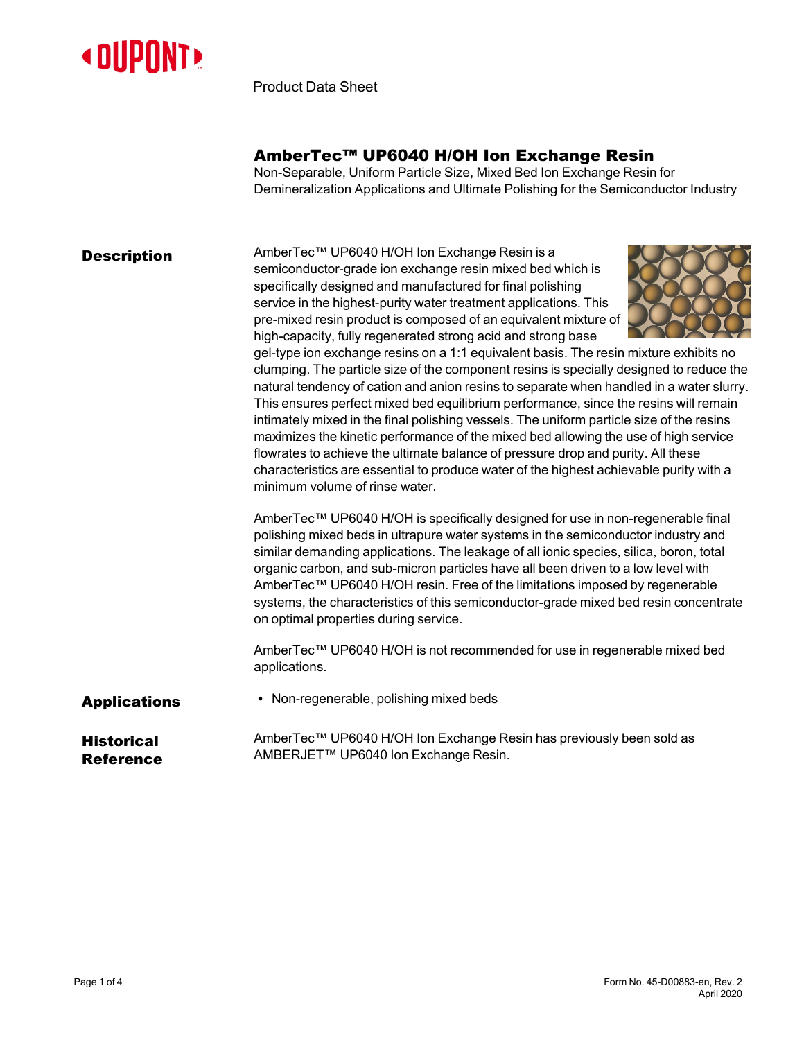

Product Data Sheet

## AmberTec™ UP6040 H/OH Ion Exchange Resin

Non-Separable, Uniform Particle Size, Mixed Bed Ion Exchange Resin for Demineralization Applications and Ultimate Polishing for the Semiconductor Industry

**Description** AmberTec™ UP6040 H/OH Ion Exchange Resin is a semiconductor-grade ion exchange resin mixed bed which is specifically designed and manufactured for final polishing service in the highest-purity water treatment applications. This pre-mixed resin product is composed of an equivalent mixture of high-capacity, fully regenerated strong acid and strong base



gel-type ion exchange resins on a 1:1 equivalent basis. The resin mixture exhibits no clumping. The particle size of the component resins is specially designed to reduce the natural tendency of cation and anion resins to separate when handled in a water slurry. This ensures perfect mixed bed equilibrium performance, since the resins will remain intimately mixed in the final polishing vessels. The uniform particle size of the resins maximizes the kinetic performance of the mixed bed allowing the use of high service flowrates to achieve the ultimate balance of pressure drop and purity. All these characteristics are essential to produce water of the highest achievable purity with a minimum volume of rinse water.

AmberTec™ UP6040 H/OH is specifically designed for use in non-regenerable final polishing mixed beds in ultrapure water systems in the semiconductor industry and similar demanding applications. The leakage of all ionic species, silica, boron, total organic carbon, and sub-micron particles have all been driven to a low level with AmberTec™ UP6040 H/OH resin. Free of the limitations imposed by regenerable systems, the characteristics of this semiconductor-grade mixed bed resin concentrate on optimal properties during service.

AmberTec™ UP6040 H/OH is not recommended for use in regenerable mixed bed applications.

Applications • Non-regenerable, polishing mixed beds

#### **Historical** Reference

AmberTec™ UP6040 H/OH Ion Exchange Resin has previously been sold as AMBERJET™ UP6040 Ion Exchange Resin.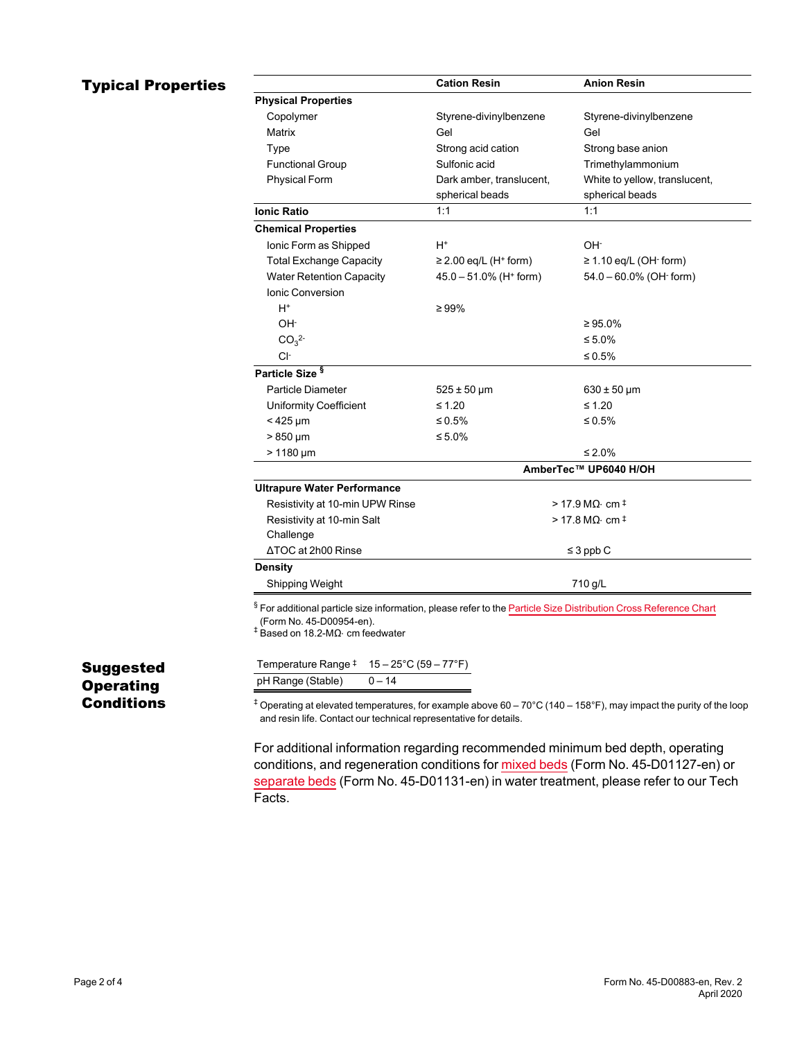# **Typical Properties**

|                                    | <b>Cation Resin</b>                    | <b>Anion Resin</b>                   |
|------------------------------------|----------------------------------------|--------------------------------------|
| <b>Physical Properties</b>         |                                        |                                      |
| Copolymer                          | Styrene-divinylbenzene                 | Styrene-divinylbenzene               |
| Matrix                             | Gel                                    | Gel                                  |
| Type                               | Strong acid cation                     | Strong base anion                    |
| <b>Functional Group</b>            | Sulfonic acid                          | Trimethylammonium                    |
| <b>Physical Form</b>               | Dark amber, translucent,               | White to yellow, translucent,        |
|                                    | spherical beads                        | spherical beads                      |
| <b>Ionic Ratio</b>                 | 1:1                                    | 1:1                                  |
| <b>Chemical Properties</b>         |                                        |                                      |
| Ionic Form as Shipped              | H+                                     | OH-                                  |
| <b>Total Exchange Capacity</b>     | $\geq$ 2.00 eq/L (H <sup>+</sup> form) | $\geq$ 1.10 eq/L (OH $\cdot$ form)   |
| <b>Water Retention Capacity</b>    | $45.0 - 51.0\%$ (H <sup>+</sup> form)  | $54.0 - 60.0\%$ (OH form)            |
| Ionic Conversion                   |                                        |                                      |
| $H^*$                              | $\geq 99\%$                            |                                      |
| OH-                                |                                        | $\geq 95.0\%$                        |
| CO <sub>3</sub> <sup>2</sup>       |                                        | ≤ 5.0%                               |
| Cŀ                                 |                                        | ≤ 0.5%                               |
| Particle Size <sup>§</sup>         |                                        |                                      |
| Particle Diameter                  | $525 \pm 50 \,\mu m$                   | $630 \pm 50 \,\mu m$                 |
| <b>Uniformity Coefficient</b>      | $\leq 1.20$                            | $\leq 1.20$                          |
| $<$ 425 µm                         | ≤ 0.5%                                 | ≤ 0.5%                               |
| $>850 \mu m$                       | ≤ 5.0%                                 |                                      |
| $>1180 \mu m$                      |                                        | ≤ 2.0%                               |
|                                    | AmberTec™ UP6040 H/OH                  |                                      |
| <b>Ultrapure Water Performance</b> |                                        |                                      |
| Resistivity at 10-min UPW Rinse    |                                        | $>$ 17.9 MQ $\cdot$ cm $^{\ddagger}$ |
| Resistivity at 10-min Salt         | $>$ 17.8 MQ $\cdot$ cm $^{\ddagger}$   |                                      |
| Challenge                          |                                        |                                      |
| ΔTOC at 2h00 Rinse                 | $\leq$ 3 ppb C                         |                                      |
| <b>Density</b>                     |                                        |                                      |
| Shipping Weight                    | 710 g/L                                |                                      |

(Form No. 45-D00954-en). ‡ Based on 18.2-MΩ⋅ cm feedwater

 $\overline{a}$  $\overline{a}$ 

| Temperature Range $\pm 15-25^{\circ}$ C (59 – 77 $^{\circ}$ F) |          |
|----------------------------------------------------------------|----------|
| pH Range (Stable)                                              | $0 - 14$ |

## Suggested **Operating Conditions**

 $+$  Operating at elevated temperatures, for example above 60 – 70°C (140 – 158°F), may impact the purity of the loop and resin life. Contact our technical representative for details.

For additional information regarding recommended minimum bed depth, operating conditions, and regeneration conditions for [mixed](https://www.dupont.com/content/dam/dupont/amer/us/en/water-solutions/public/documents/en/45-D01127-en.pdf) beds (Form No. 45-D01127-en) or [separate](https://www.dupont.com/content/dam/dupont/amer/us/en/water-solutions/public/documents/en/45-D01131-en.pdf) beds (Form No. 45-D01131-en) in water treatment, please refer to our Tech Facts.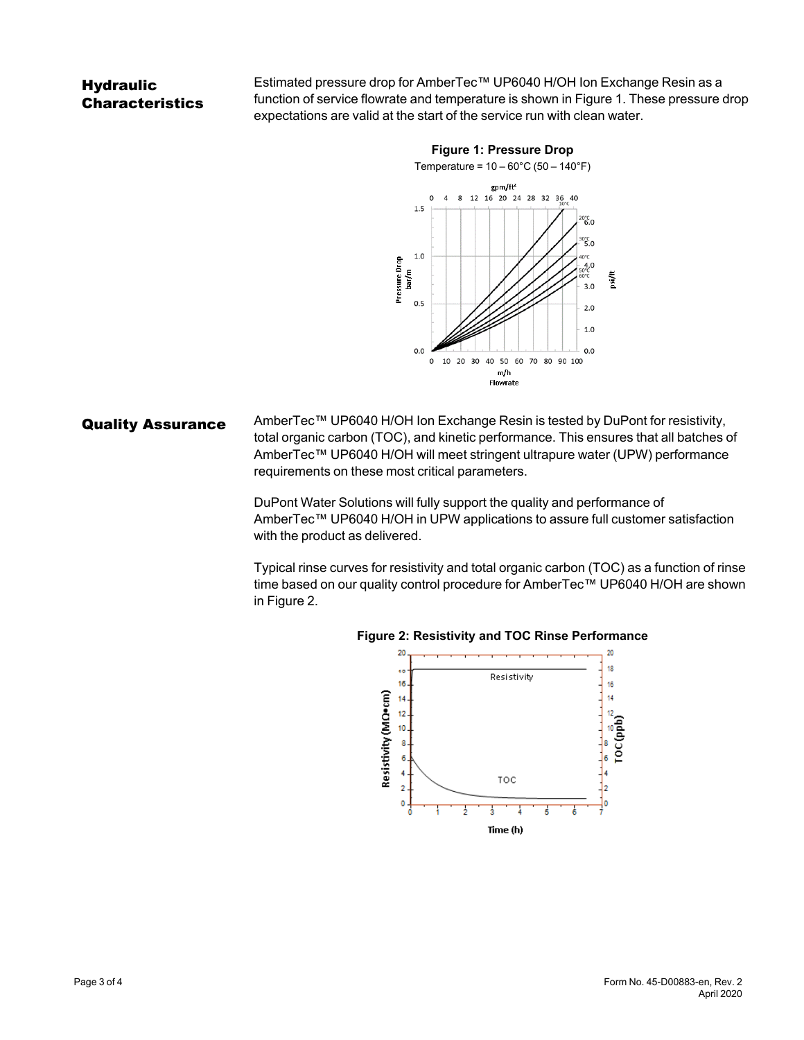# **Hydraulic Characteristics**

Estimated pressure drop for AmberTec™ UP6040 H/OH Ion Exchange Resin as a function of service flowrate and temperature is shown in [Figure 1](#page-2-0). These pressure drop expectations are valid at the start of the service run with clean water.

<span id="page-2-0"></span>

Quality Assurance AmberTec™ UP6040 H/OH Ion Exchange Resin is tested by DuPont for resistivity, total organic carbon (TOC), and kinetic performance. This ensures that all batches of AmberTec™ UP6040 H/OH will meet stringent ultrapure water (UPW) performance requirements on these most critical parameters.

> DuPont Water Solutions will fully support the quality and performance of AmberTec™ UP6040 H/OH in UPW applications to assure full customer satisfaction with the product as delivered.

Typical rinse curves for resistivity and total organic carbon (TOC) as a function of rinse time based on our quality control procedure for AmberTec™ UP6040 H/OH are shown in [Figure 2.](#page-2-1)



#### <span id="page-2-1"></span>**Figure 2: Resistivity and TOC Rinse Performance**